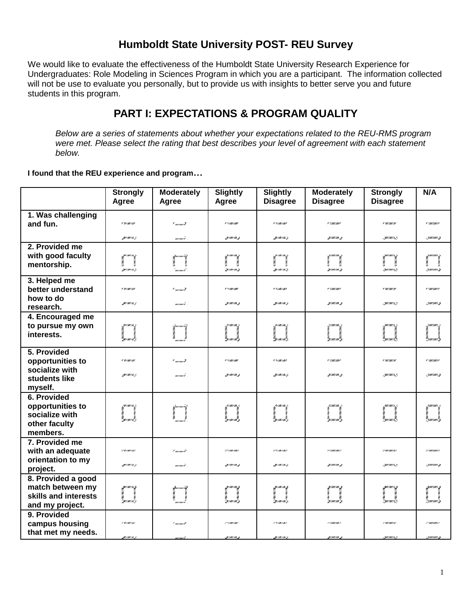### **Humboldt State University POST- REU Survey**

We would like to evaluate the effectiveness of the Humboldt State University Research Experience for Undergraduates: Role Modeling in Sciences Program in which you are a participant. The information collected will not be use to evaluate you personally, but to provide us with insights to better serve you and future students in this program.

## **PART I: EXPECTATIONS & PROGRAM QUALITY**

*Below are a series of statements about whether your expectations related to the REU-RMS program were met. Please select the rating that best describes your level of agreement with each statement below.*

**I found that the REU experience and program…**

|                                                                                   | <b>Strongly</b><br>Agree             | <b>Moderately</b><br>Agree                           | Slightly<br>Agree                                | <b>Slightly</b><br><b>Disagree</b>        | <b>Moderately</b><br><b>Disagree</b>     | <b>Strongly</b><br><b>Disagree</b>        | N/A                                                |
|-----------------------------------------------------------------------------------|--------------------------------------|------------------------------------------------------|--------------------------------------------------|-------------------------------------------|------------------------------------------|-------------------------------------------|----------------------------------------------------|
| 1. Was challenging<br>and fun.                                                    | r w/aw/ar                            | $"$ m/m/ $I$                                         | <b>VILLANT</b>                                   | <b>COMMAND</b>                            | <b>P. Low Lower</b>                      | <b>v</b> 100/100/10                       | e cantanere                                        |
|                                                                                   | gwmun j.                             | mermeri.                                             | 30000 A                                          | germerm <sub>e</sub>                      | g/m/mg                                   | . jan / an / s. g.                        | .yuunaan g                                         |
| 2. Provided me<br>with good faculty<br>mentorship.                                | . jin mu no z<br>zwimia).            | i film mar i lif<br>Van Santa Villa<br>14<br>'mmuri' | . je i ma i ma . j<br>30 minut 2                 | . ji i me i mož<br>mana,                  | . ju ma ma <sub>di</sub><br>50 mei iuw 5 | i paramana<br>C<br>rpa ourost.            | i parameter<br>Album<br>Album Album<br>:3 marcas 3 |
| 3. Helped me<br>better understand<br>how to do<br>research.                       | r w/m//ar<br>painin a                | $"$ means $I'$<br>mormore .                          | # */////////////////<br><b>MARCAS</b>            | # *////////////////<br>Miller in J        | v vanzanv<br>g/m/mg                      | v w/m/n<br>garnanneg.                     | r suusaase<br>ي صمصي                               |
| 4. Encouraged me<br>to pursue my own<br>interests.                                | 2012015.<br>i<br>maala               | inana)<br> <br>                                      | i<br>Seriariak                                   | 21.000 F.000.                             | i<br>Generalis                           | i<br>Gamaan I                             | s<br>Generaan                                      |
| 5. Provided<br>opportunities to<br>socialize with<br>students like<br>myself.     | r w/aw/ar<br>gwmun j                 | $"$ writing $I$<br>marmari .                         | <b>VILLANT</b><br>31/00/00 A                     | <b>COMMAND</b><br><b>MIMIMA</b>           | <b>P. Long Long</b><br>ي ست ست           | <b>F 207/807/19</b><br>. jan / an / s. g. | e canciano<br>.yuunaan.g                           |
| 6. Provided<br>opportunities to<br>socialize with<br>other faculty<br>members.    | puman<br>www.                        | inandi<br>1                                          | ,97.0007.000 ;<br>i<br>zaman                     | gunung,<br>i<br>Laman                     | i<br>General                             | jummun j<br>e<br>Generalist               | is<br>Generaan                                     |
| 7. Provided me<br>with an adequate<br>orientation to my<br>project.               | 79100181<br>gwimia j.                | '' momeil<br>marmari.                                | 77/08/08/<br>30000 A                             | <b>TAIMARK</b><br>germerm <sub>e</sub>    | 77007007<br>.g/m/mg                      | 7 887 887 737<br>. juuri uuri is, p       | <b>Seminario</b><br>.yuunaan g                     |
| 8. Provided a good<br>match between my<br>skills and interests<br>and my project. | w/m/a <mark>.j</mark><br>'suraurik's |                                                      | 2011   11   11   11   11<br><u>'sa cuar cuai</u> | <b>MIMIA</b><br>$-100$<br><u>sanan ak</u> | i<br>Generalis                           | am mu n <sub>a</sub> p<br>i<br>Gamana Ing | ta<br>G<br>Spaar emar i                            |
| 9. Provided<br>campus housing<br>that met my needs.                               | i wimiini<br>swawa i                 | ' moment                                             | e semenare<br>yezhoù g                           | e v/me/me<br>ministra.                    | e simi mo<br>g/m/m g                     | r merment<br>. jiwa wa m <sub>a</sub> n   | e suuraavse<br>. ymunmus                           |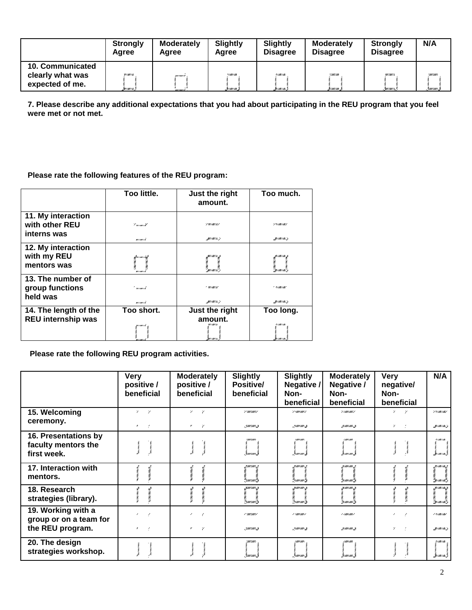|                                                         | <b>Strongly</b><br>Agree | <b>Moderately</b><br>Agree  | <b>Slightly</b><br>Agree   | Slightly<br><b>Disagree</b> | <b>Moderately</b><br><b>Disagree</b> | <b>Strongly</b><br><b>Disagree</b> | N/A                          |
|---------------------------------------------------------|--------------------------|-----------------------------|----------------------------|-----------------------------|--------------------------------------|------------------------------------|------------------------------|
| 10. Communicated<br>clearly what was<br>expected of me. | W/M//A<br>311/11/16. J   | ,,,,,,,,,,,,,,,<br>marmarie | *//00//000<br>317 mer 7 ma | 77.007.00<br>301 me 1 m. .  | *////////////////<br>3/m/m.          | <b>W/2011</b><br>2007/2017 A.      | <b>SHIP LAND'S</b><br>.3mmms |

**7. Please describe any additional expectations that you had about participating in the REU program that you feel were met or not met.**

#### **Please rate the following features of the REU program:**

|                                                     | Too little.               | Just the right<br>amount.                 | Too much.                                   |
|-----------------------------------------------------|---------------------------|-------------------------------------------|---------------------------------------------|
| 11. My interaction<br>with other REU<br>interns was | 7 minus it<br>mi mi it    | 7 W/M/A/<br>parana,                       | 7 *//////////////<br>JA I MA I MAZZA        |
| 12. My interaction<br>with my REU<br>mentors was    | ter me i total            |                                           |                                             |
| 13. The number of<br>group functions<br>held was    | ' winni it<br>m i mi i të | * <i>WIMIA</i> *<br><b>AU I AU I A. 7</b> | * */ <i>////////</i> ////<br>JA I MALAM. JI |
| 14. The length of the<br>REU internship was         | Too short.<br>w/m/A       | Just the right<br>amount.<br>W/M/A        | Too long.<br>w <i>i mwi m</i> a             |

**Please rate the following REU program activities.**

|                                                                  | <b>Very</b><br>positive /<br>beneficial                        | Moderately<br>positive /<br>beneficial     | Slightly<br>Positive/<br>beneficial | <b>Slightly</b><br>Negative /<br>Non-<br>beneficial | <b>Moderately</b><br>Negative /<br>Non-<br>beneficial | <b>Very</b><br>negative/<br>Non-<br>beneficial   | N/A                                                                      |
|------------------------------------------------------------------|----------------------------------------------------------------|--------------------------------------------|-------------------------------------|-----------------------------------------------------|-------------------------------------------------------|--------------------------------------------------|--------------------------------------------------------------------------|
| 15. Welcoming<br>ceremony.                                       | $\mathbf{z} = \mathbf{z}$<br>$\mathcal{E} = \{ \mathcal{E} \}$ | $\mathcal V$<br>$\mathcal{V}$<br>٠.<br>- 7 | 7° mily mily t<br>.yuunaan.g        | '/ 'murman's/<br>gramman, ge                        | 's concourts<br>$I$ and $\mathcal{P}$                 | $\mathbf{z}$<br>$\mathcal V$<br>$Z_{\rm c} = -2$ | 79710071087<br><b>MIMIMA</b>                                             |
| 16. Presentations by<br>faculty mentors the<br>first week.       |                                                                |                                            | 10011.0007<br>. Guunaan 3           | wa<br>Genwenne S                                    | ,,,,,,,,,,,<br>žemem.                                 |                                                  | *///////////////<br>30 marson 4                                          |
| 17. Interaction with<br>mentors.                                 |                                                                |                                            | r<br>Danman Sp                      | Generaan Sp                                         | Semena S                                              |                                                  | gumum <sub>g</sub><br>Sermant S                                          |
| 18. Research<br>strategies (library).                            |                                                                |                                            | د. (۱۳۸۳) په<br>'isaacaa lis        | 30/00/1000/13<br>Germann i St                       | <b>SIMILARI</b><br>''mumm's                           |                                                  | zu ma ma <sub>r</sub> za<br><sup>lo</sup> ge i me i milo <sub>tt</sub> i |
| 19. Working with a<br>group or on a team for<br>the REU program. | $\epsilon$<br>×<br>$\mathcal{F} = \mathcal{F}$                 | $\lambda$<br>- 7<br>,                      | e suuri uuri e<br>Jawaan 3          | r cancana<br><b>JAMASHIRI</b>                       | 1 1 100 1 100 1<br>JIMI CAME 3                        | $\epsilon$<br>$\mathbf{z}$                       | 197007007<br><b>MIMIMA</b>                                               |
| 20. The design<br>strategies workshop.                           |                                                                |                                            | <b>JOURNALIST</b><br>.Buurraari 3   | wa<br>Jean cases                                    | 1.0001.000<br>Genwenn.                                |                                                  | !//////////////<br>311 mars m. 7                                         |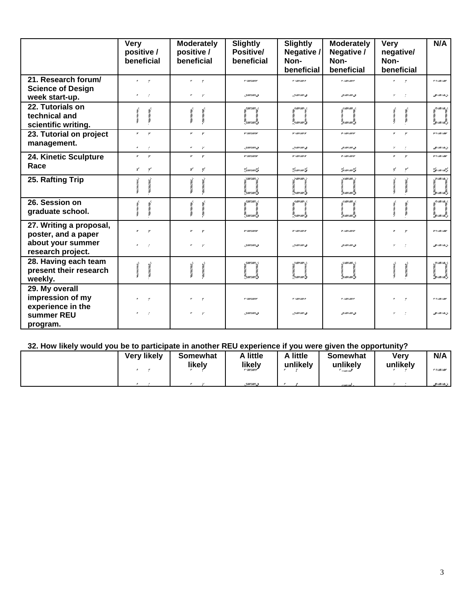|                                                           | <b>Very</b><br>positive /<br>beneficial         | <b>Moderately</b><br>positive /<br>beneficial | <b>Slightly</b><br>Positive/<br>beneficial | <b>Slightly</b><br>Negative /<br>Non-<br>beneficial | <b>Moderately</b><br>Negative /<br>Non-<br>beneficial | <b>Very</b><br>negative/<br>Non-<br>beneficial                | N/A                                  |
|-----------------------------------------------------------|-------------------------------------------------|-----------------------------------------------|--------------------------------------------|-----------------------------------------------------|-------------------------------------------------------|---------------------------------------------------------------|--------------------------------------|
| 21. Research forum/                                       | $\mathbf{r} = -\mathbf{r}$                      | ¥.<br>$\mathcal{C}$                           | <b>CONTACT</b>                             | r sausane                                           | r cancance                                            | ×.<br>$\mathcal{C}$                                           | r v <i>innern</i> ar                 |
| <b>Science of Design</b><br>week start-up.                | $\mathcal{P}^{\pm}$<br>$\sim$ $\epsilon$        | $\gamma$<br>,                                 | Jaunawi 3                                  | zemecno, p                                          | <i>Jemican</i> , 3                                    | $\mathcal{V}$                                                 | <b>MARINA</b>                        |
| 22. Tutorials on<br>technical and<br>scientific writing.  | message<br>wax wax wax.                         | enventory.                                    | saurraurr z<br>7<br>General I              | 2000 CMW 1 2<br>e<br>Samanan S                      | ,,,,,,,,,,,,<br>)<br>1000 au 23                       | <b>Control Control</b>                                        | gunan na p<br>a<br>marako            |
| 23. Tutorial on project<br>management.                    | У.<br>$\boldsymbol{r}$<br>$\mathcal{L}$<br>٠.   | ¥.<br>$\boldsymbol{r}$<br>$\gamma$<br>٠       | y amany<br>. ymunmus                       | y cancany<br>zomom z                                | v concanve<br>Jeancan, z                              | ¥.<br>$\mathcal V$<br>$\mathcal{L}_{\mathcal{C}}$<br>$\sim$ 2 | <b>V</b> V / MX / MXV<br>HIMI M. J   |
| 24. Kinetic Sculpture                                     | У.<br>$\mathcal V$                              | У.<br>$\boldsymbol{r}$                        | y amany                                    | y caacaasy                                          | v concanve                                            | ۳.<br>$\mathbf{r}$                                            | <b>V</b> V / MX / MXV                |
| Race                                                      | ¥.<br>ザ                                         | ₹<br>v.                                       | Ymunmul <b>s</b>                           | Genneau C                                           | ''mumis                                               | v.<br>у                                                       | "permermi" p                         |
| 25. Rafting Trip                                          | $m \times m \times$                             |                                               | zmumi z<br>r<br>Samaan S                   |                                                     | <b>Hawcan</b> ,<br>yemeen                             |                                                               | zeemeens z<br>r<br>marak             |
| 26. Session on<br>graduate school.                        | and control of the control<br>reaction control. |                                               | ruman r<br>i<br>,,,,,,,,,,,,,,             | 2000 Canto 20<br>e<br>Samanan S                     | zememez.<br>rement S                                  | messa saara                                                   | yn menis <sub>k</sub> e<br>ya marada |
| 27. Writing a proposal,<br>poster, and a paper            | $\boldsymbol{r}$<br>$\mathbf{r}$                | ×<br>$\mathbf{r}$                             | v umanov                                   | r (micanor                                          | v cancana                                             | r<br>$\boldsymbol{r}$                                         | v v/me/mw                            |
| about your summer<br>research project.                    | $\mathbf{r}$<br>$\cdot$                         | $\gamma$<br>٠                                 | .ymman,z                                   | gramman, p                                          | Jeancan, z                                            | $\mathcal V$<br>$\sim$ 1                                      | HIMI M. J                            |
| 28. Having each team<br>present their research<br>weekly. |                                                 |                                               | summany -<br>ริมเทนเทริ                    | i<br>Generalis                                      | <b>SAMILAM</b><br>remeen.                             |                                                               | ynanas<br>z<br>Secono colleg         |
| 29. My overall<br>impression of my<br>experience in the   | $\mathbf{r}$<br>$\boldsymbol{r}$                | $\mathcal{L}$<br>,                            | r suuraare                                 | r (micano                                           | v cancance                                            | ×.<br>$\mathbf{r}$<br>$\mathcal{V}^{\pm}$                     | v +////////////////                  |
| summer REU<br>program.                                    | ٠.<br>$\epsilon$                                | - 7                                           | . ymunmus                                  | zomom <b>z</b>                                      | Jeancan, z                                            | $\sim$ 1                                                      | germena, p                           |

#### **32. How likely would you be to participate in another REU experience if you were given the opportunity?**

| <b>Very likely</b> | Somewhat<br>likely | . little<br>likely | . little<br>unlikely | Somewhat<br>unlikely<br>* umumi | <b>Very</b><br>unlikely | N/A<br><b>F 1/28/207</b> |
|--------------------|--------------------|--------------------|----------------------|---------------------------------|-------------------------|--------------------------|
|                    |                    | .ymnmm.s           |                      | 11 ma 1 mai - 1                 |                         | $201$ MK / MK $\mu$      |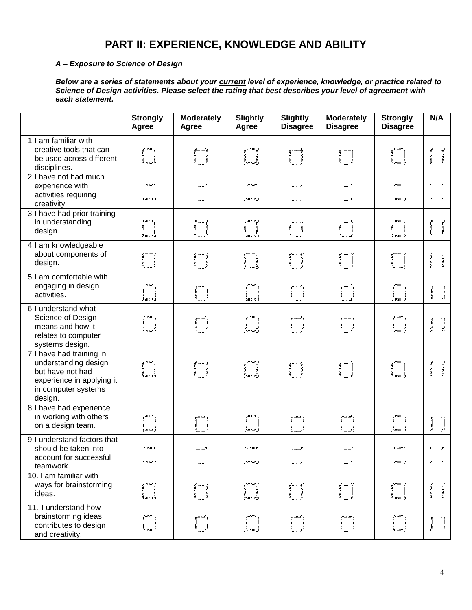# **PART II: EXPERIENCE, KNOWLEDGE AND ABILITY**

#### *A – Exposure to Science of Design*

*Below are a series of statements about your current level of experience, knowledge, or practice related to Science of Design activities. Please select the rating that best describes your level of agreement with each statement.*

|                                                                                                                                     | <b>Strongly</b><br>Agree                          | <b>Moderately</b><br>Agree | <b>Slightly</b><br>Agree                                    | <b>Slightly</b><br><b>Disagree</b>   | <b>Moderately</b><br><b>Disagree</b>                                                                                                                                                                                                                                                                                            | <b>Strongly</b><br><b>Disagree</b>                                                                                                                                                                                              | N/A                                                     |
|-------------------------------------------------------------------------------------------------------------------------------------|---------------------------------------------------|----------------------------|-------------------------------------------------------------|--------------------------------------|---------------------------------------------------------------------------------------------------------------------------------------------------------------------------------------------------------------------------------------------------------------------------------------------------------------------------------|---------------------------------------------------------------------------------------------------------------------------------------------------------------------------------------------------------------------------------|---------------------------------------------------------|
| 1.I am familiar with<br>creative tools that can<br>be used across different<br>disciplines.                                         | faman<br>Samang                                   | pinaning<br>1              | faman<br>Tanah                                              | personat<br>1<br>1. marca 1          | $\begin{pmatrix} 1 & 0 & 0 & 0 \\ 0 & 0 & 0 & 0 \\ 0 & 0 & 0 & 0 \\ 0 & 0 & 0 & 0 \\ 0 & 0 & 0 & 0 \\ 0 & 0 & 0 & 0 \\ 0 & 0 & 0 & 0 \\ 0 & 0 & 0 & 0 \\ 0 & 0 & 0 & 0 \\ 0 & 0 & 0 & 0 \\ 0 & 0 & 0 & 0 \\ 0 & 0 & 0 & 0 \\ 0 & 0 & 0 & 0 \\ 0 & 0 & 0 & 0 \\ 0 & 0 & 0 & 0 & 0 \\ 0 & 0 & 0 & 0 & 0 \\ 0 & 0 & 0 & 0 & 0 \\ $ | en andere stadt stadt stadt stadt stadt stadt stadt stadt stadt stadt stadt stadt stadt stadt stadt stadt stad<br>Stadt stadt stadt stadt stadt stadt stadt stadt stadt stadt stadt stadt stadt stadt stadt stadt stadt stadt s |                                                         |
| 2.I have not had much<br>experience with<br>activities requiring<br>creativity.                                                     | <b><i><i><u>AMERINA</u></i></i></b><br>gramman, p | ' caacaan'<br>cmecani -    | . . and a man of<br>. ymunmus                               | ' winning<br>mımırt                  | ' como mi<br>remeni s                                                                                                                                                                                                                                                                                                           | . au rau re<br>zminovist.                                                                                                                                                                                                       |                                                         |
| 3.I have had prior training<br>in understanding<br>design.                                                                          | e<br>Saman (S                                     | r<br> <br> <br>  aman      | r<br>Ymerawd is                                             |                                      | filmanif<br> <br> -                                                                                                                                                                                                                                                                                                             | i<br>Vymenaelise                                                                                                                                                                                                                | <b>WARRANTOWN</b>                                       |
| 4.I am knowledgeable<br>about components of<br>design.                                                                              | remerciano,<br>a<br>Generalis                     |                            | J.MII LAWI J<br>en mar mar d                                | t. a i mi i tot                      | ez e ma e miño                                                                                                                                                                                                                                                                                                                  | <br> -<br>  autouris <mark> </mark>                                                                                                                                                                                             |                                                         |
| 5.1 am comfortable with<br>engaging in design<br>activities.                                                                        | l<br>Laman J                                      |                            | $\begin{array}{c} \begin{array}{c} \end{array} \end{array}$ | filmed<br>Heimid<br>Heimid           |                                                                                                                                                                                                                                                                                                                                 | r<br>Jan can es J                                                                                                                                                                                                               | <b>Turkyun yun</b>                                      |
| 6.I understand what<br>Science of Design<br>means and how it<br>relates to computer<br>systems design.                              | 'ziminin'i <b>z</b>                               | ymanning<br>Carlotta<br>L  | . 9 mars mars 3                                             | ya marata<br>1970<br>1970 - A        | y marmir y<br>Yana ya<br>Yana cuni ya                                                                                                                                                                                                                                                                                           | i<br>Parti<br>rmanis                                                                                                                                                                                                            | <b>Washington</b><br>$\mathbb{R}^{n \times m \times n}$ |
| 7.I have had training in<br>understanding design<br>but have not had<br>experience in applying it<br>in computer systems<br>design. | i<br>Lamani <mark>s</mark>                        | f <sup>meni</sup> f<br>1   | gaman<br>Carantha                                           |                                      | pinanik<br>1.<br>1. martin                                                                                                                                                                                                                                                                                                      | en andere<br>Generaliste<br>Generaliste                                                                                                                                                                                         | <b>CONSUMING THE REAL PROPERTY</b>                      |
| 8.I have had experience<br>in working with others<br>on a design team.                                                              | i<br>Laurano, <b>j</b>                            |                            | haarraan 3                                                  | yezment                              | Į                                                                                                                                                                                                                                                                                                                               | s<br> }<br> }m==m===                                                                                                                                                                                                            | <b>BANGHAMAN</b><br><b>Section</b> Assesses             |
| 9.I understand factors that<br>should be taken into<br>account for successful                                                       | a caucausi                                        | * murman?                  | o surranco                                                  | $^{\prime}$ wrawra $^{\prime\prime}$ | * ::marmil                                                                                                                                                                                                                                                                                                                      | # 007/007/3                                                                                                                                                                                                                     |                                                         |
| teamwork.                                                                                                                           | gemeent ge                                        | cuncum: .                  | ي (سماسين)                                                  | m i mi i të                          | rement i                                                                                                                                                                                                                                                                                                                        | zuwana rege                                                                                                                                                                                                                     | $\mathcal{L}$<br>y                                      |
| 10. I am familiar with<br>ways for brainstorming<br>ideas.                                                                          | i<br>Generand                                     |                            | "suuraari"3                                                 | !:w i mi i ital                      |                                                                                                                                                                                                                                                                                                                                 |                                                                                                                                                                                                                                 |                                                         |
| 11. I understand how<br>brainstorming ideas<br>contributes to design<br>and creativity.                                             | z<br>Gaurraur,                                    |                            | .<br>Saurrawr                                               |                                      |                                                                                                                                                                                                                                                                                                                                 |                                                                                                                                                                                                                                 |                                                         |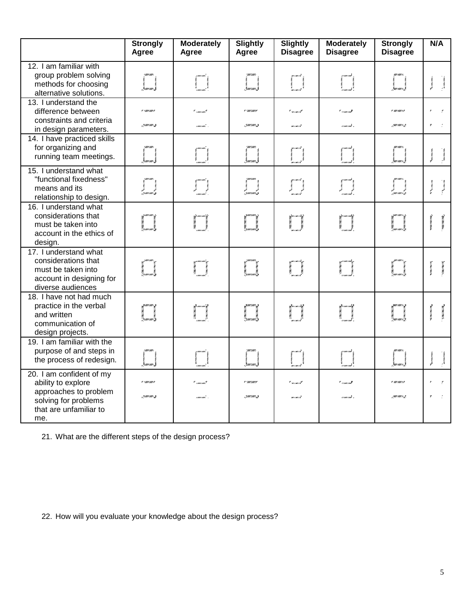|                                                                                                                                  | <b>Strongly</b><br>Agree | <b>Moderately</b><br>Agree       | <b>Slightly</b><br>Agree      | <b>Slightly</b><br><b>Disagree</b>    | <b>Moderately</b><br><b>Disagree</b> | <b>Strongly</b><br><b>Disagree</b>    | N/A                                           |
|----------------------------------------------------------------------------------------------------------------------------------|--------------------------|----------------------------------|-------------------------------|---------------------------------------|--------------------------------------|---------------------------------------|-----------------------------------------------|
| 12. I am familiar with<br>group problem solving<br>methods for choosing<br>alternative solutions.                                |                          |                                  | i<br>Jamaan J                 | U                                     |                                      | r<br>Zmremer Z                        | dia von von.                                  |
| 13. I understand the<br>difference between<br>constraints and criteria<br>in design parameters.                                  | r (micano<br>gramman, ge | $"$ concerned $"$<br>concerned a | r surrawn<br>. yawaan z       | * wrone#<br>meneri                    | the common second<br>concent i       | r mezmezo<br>zuranny                  | $\mathcal{L}$                                 |
| 14. I have practiced skills<br>for organizing and<br>running team meetings.                                                      | i<br>Janai               |                                  | )<br>Januari S                |                                       | I                                    | i<br>Zamani eliz                      | <b>Mary and Control</b>                       |
| 15. I understand what<br>"functional fixedness"<br>means and its<br>relationship to design.                                      | a<br>Tamaning            | Į.                               | l<br>Gamano I                 | ya marata<br>G                        | y marant<br>Y                        | r<br>1900 anns 1917<br>1900 anns 1927 | $\mathcal{V}_{\text{RMS}}$<br><b>Channel</b>  |
| 16. I understand what<br>considerations that<br>must be taken into<br>account in the ethics of<br>design.                        | i<br>Laman S             | je<br>L                          | i<br>Laman S                  | i perancaki<br>Kalendari<br>Kalendari | je<br>L                              | i<br>Zamena 1. z                      | reaches and the control                       |
| 17. I understand what<br>considerations that<br>must be taken into<br>account in designing for<br>diverse audiences              | i<br>Gamaniy             |                                  | ta<br>Samandar                | r<br>Marian<br>Maria                  | yana zailyi<br>Marejeo<br>Marejeo    |                                       | <b>CONTRACTOR</b>                             |
| 18. I have not had much<br>practice in the verbal<br>and written<br>communication of<br>design projects.                         | i<br>Gamanista           |                                  | i<br>Camaaliy                 | ngan<br>Kacamatan<br>K                |                                      |                                       | <b>START AND START AND START</b>              |
| 19. I am familiar with the<br>purpose of and steps in<br>the process of redesign.                                                |                          |                                  |                               | I                                     |                                      |                                       | <b>Successive</b><br>$m_{\lambda}$ (maximals) |
| 20. I am confident of my<br>ability to explore<br>approaches to problem<br>solving for problems<br>that are unfamiliar to<br>me. | e cancano.<br>2000 cam.a | cuncum: .                        | <b>v</b> surrance<br>.ymnam.s | * minist<br>mimið                     | rement i                             | r anzanza<br>10010013                 |                                               |

21. What are the different steps of the design process?

22. How will you evaluate your knowledge about the design process?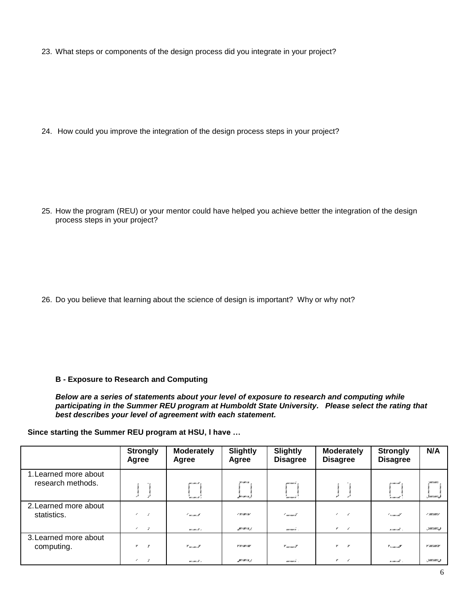23. What steps or components of the design process did you integrate in your project?

24. How could you improve the integration of the design process steps in your project?

25. How the program (REU) or your mentor could have helped you achieve better the integration of the design process steps in your project?

26. Do you believe that learning about the science of design is important? Why or why not?

#### **B - Exposure to Research and Computing**

*Below are a series of statements about your level of exposure to research and computing while participating in the Summer REU program at Humboldt State University. Please select the rating that best describes your level of agreement with each statement.*

#### **Since starting the Summer REU program at HSU, I have …**

|                                            | <b>Strongly</b><br>Agree            | <b>Moderately</b><br>Agree | <b>Slightly</b><br>Agree            | <b>Slightly</b><br><b>Disagree</b>      | <b>Moderately</b><br><b>Disagree</b>        | <b>Strongly</b><br><b>Disagree</b> | N/A                           |
|--------------------------------------------|-------------------------------------|----------------------------|-------------------------------------|-----------------------------------------|---------------------------------------------|------------------------------------|-------------------------------|
| 1. Learned more about<br>research methods. |                                     | mimik .<br>wimik i         | <b>W/AW/A</b><br>Juriania I.        | marmari -<br>"momeri".                  |                                             | 21 mes i mit<br>n me cut           | . <i>9mmm</i> .1              |
| 2. Learned more about<br>statistics.       | z<br>$\epsilon$<br>-7<br>$\epsilon$ | (wound<br>mimik i          | 1 W/80/A/<br>MINIA I.               | ! moment<br>mermere.                    | $\epsilon$<br>,<br>$\overline{\phantom{a}}$ | <u>I semenat</u><br>some out -     | / 20012021<br>-70001001.3     |
| 3. Learned more about<br>computing.        | v.<br>$\overline{r}$<br>-7<br>,     | $"$ wrown $"$<br>mimik i   | <b>V W/AW/AV</b><br><b>SUIMIA</b> L | $\mathbf{v}_{\text{unram}}$<br>mermeri. | v<br>r<br>,<br>$\overline{\phantom{a}}$     | $\mathbf{v}_{x/mx/m}$<br>somenit s | V /////////////<br>.7007007.3 |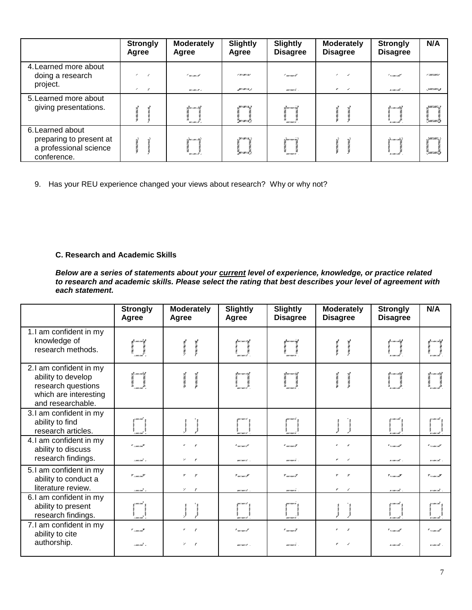|                                                                                      | <b>Strongly</b><br>Agree | <b>Moderately</b><br>Agree | <b>Slightly</b><br>Agree                                   | <b>Slightly</b><br><b>Disagree</b> | <b>Moderately</b><br><b>Disagree</b> | <b>Strongly</b><br><b>Disagree</b> | N/A                                        |
|--------------------------------------------------------------------------------------|--------------------------|----------------------------|------------------------------------------------------------|------------------------------------|--------------------------------------|------------------------------------|--------------------------------------------|
| 4. Learned more about<br>doing a research<br>project.                                | z<br>,<br>-7             | ' minist<br>mimik i        | / 1/20/8/<br><b>SUIMIA</b> L                               | t mermert<br>moment.               | ,<br>$\sim$                          | <u>I semenat</u><br>somenit .      | 7' 000 000 2.7<br>-70000001.3              |
| 5. Learned more about<br>giving presentations.                                       |                          | Laureau rial<br>'mineix'i  | <b>311/10/16.3</b><br><sup>a</sup> mini ik <sup>a</sup> j. | 2.mmmið.<br>marmari.               |                                      | 2000 inde<br>"ximina".             | 9 <i>1111   11111  </i>                    |
| 6. Learned about<br>preparing to present at<br>a professional science<br>conference. |                          | itmomoret.<br>minei k      | : W/M/A.)<br>"SII I MI I K" J.                             | Quartuari of<br>marmaric           |                                      | i forma emiot<br>`n me i mi        | . <i>7000 1.000 1.</i><br>**************** |

9. Has your REU experience changed your views about research? Why or why not?

#### **C. Research and Academic Skills**

*Below are a series of statements about your current level of experience, knowledge, or practice related to research and academic skills. Please select the rating that best describes your level of agreement with each statement.*

|                                                                                                                  | <b>Strongly</b><br>Agree                          | <b>Moderately</b><br>Agree                          | <b>Slightly</b><br>Agree            | <b>Slightly</b><br><b>Disagree</b>            | <b>Moderately</b><br><b>Disagree</b>      | <b>Strongly</b><br><b>Disagree</b>                 | N/A                                       |
|------------------------------------------------------------------------------------------------------------------|---------------------------------------------------|-----------------------------------------------------|-------------------------------------|-----------------------------------------------|-------------------------------------------|----------------------------------------------------|-------------------------------------------|
| 1.I am confident in my<br>knowledge of<br>research methods.                                                      | familian<br>1<br>1<br>i mai i mal'                | <b>Avenue Service</b><br><b>Committee Committee</b> | meneri                              | filmanna<br>C<br>C<br>mermere <sup>r</sup>    | New Year's Way<br><b>Avenue Venezue</b>   | gramanig<br>1<br>1<br>n concent                    | en mermen<br>> 0.000<br>r i mr i më       |
| 2.1 am confident in my<br>ability to develop<br>research questions<br>which are interesting<br>and researchable. | i<br> -<br> -<br> -                               |                                                     | yanang<br> <br>                     | 9, ma i ma i cit                              | <b>WARRANGER</b>                          | Ya ma misil<br>C                                   | t <sup>a</sup> r i ma i mash<br>as vens y |
| 3.1 am confident in my<br>ability to find<br>research articles.                                                  | emu mi                                            | <b>Surveyord</b><br>way was come                    | mezmezi<br>mar come c d'            | gurrunre a                                    | <b>Mark Wark Came</b><br><b>MRAYMAY</b>   | zı mıx ond                                         | 87.000 F.000<br><b>FIMYIM</b>             |
| 4.1 am confident in my<br>ability to discuss<br>research findings.                                               | * <sub>1001</sub> mm <sup>y</sup><br>i mai mil. s | ٠.<br>r<br>$\mathbf{z}$<br>$\mathcal{L}$            | $"$ writers $t'$<br>memors.         | * mermerZ<br>meneri .                         | ×<br>,<br>$\sim$                          | * */mx/mx <b>*</b><br>someni .                     | * <sub>*/mx/m</sub> *<br>n cancerate .    |
| 5.1 am confident in my<br>ability to conduct a<br>literature review.                                             | * /////////////<br>i mai mil. s                   | ۳.<br>Y<br>$\mathbf{z} = \mathbf{r}$                | $\mathbf{v}_{unorm}$<br>www.comerce | $\mathscr{C}$ and $\mathscr{C}$<br>mermeri.   | ×<br>v<br>,<br>$\overline{\phantom{a}}$   | $\mathbf{v}_{\text{v/mr}/m\mathbf{z}}$<br>ximina - | $\mathbf{v}_{r,\text{max}}$<br>ximini -   |
| 6.I am confident in my<br>ability to present<br>research findings.                                               | z murmai.                                         | <b>MRA / MRA / WAR</b>                              | ma i mai i k<br>more and a d        | guernario <sub>d</sub><br>WAN WIRE<br>mormari | <b>Many Camery Andre</b><br>enventory em- | geneemd .                                          | y i mr i mt<br><b>MARK CAR</b>            |
| 7.I am confident in my<br>ability to cite<br>authorship.                                                         | $"$ concent<br>i mai mil. s                       | ,<br>r<br>$\mathcal{V}$ .<br>$\cdot$                | * women!<br>mones.                  | * mermerZ<br>mermere.                         | ,<br>r<br>$\overline{\phantom{a}}$        | * */mx/mx*<br>n me më -                            | * */mx/m*<br>n cancerate .                |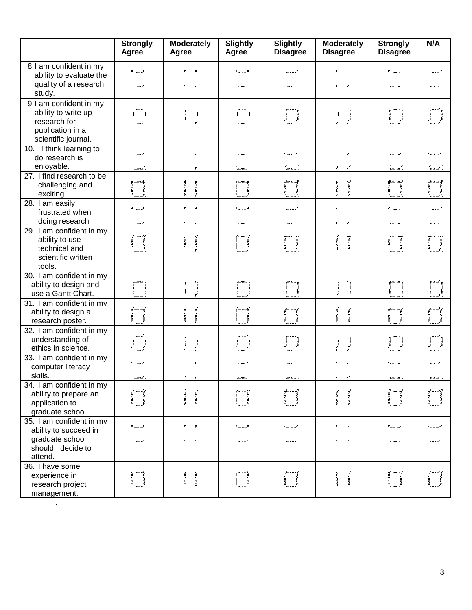|                                                  | <b>Strongly</b><br>Agree    | <b>Moderately</b><br>Agree             | <b>Slightly</b><br>Agree         | Slightly<br><b>Disagree</b>              | <b>Moderately</b><br><b>Disagree</b>       | <b>Strongly</b><br><b>Disagree</b>                                        | N/A                                |
|--------------------------------------------------|-----------------------------|----------------------------------------|----------------------------------|------------------------------------------|--------------------------------------------|---------------------------------------------------------------------------|------------------------------------|
| 8.1 am confident in my                           | y <sub>camcan</sub> y       | ۳<br>Y                                 | $\mathbf{v}_{unram}, \mathbf{v}$ | $\mathbf{v}_{\textit{unram}},\mathbf{y}$ |                                            | $\mathbf{v}_{\text{v}/\text{max}/\text{max}}$                             | $\mathbf{v}_{r,\text{max}}$        |
| ability to evaluate the<br>quality of a research |                             |                                        |                                  |                                          |                                            |                                                                           |                                    |
| study.                                           | rmani s                     | $\mathbf{v}$<br>r                      | months.                          | marmare.                                 |                                            | n me më -                                                                 | n i moi inte                       |
| 9.I am confident in my                           |                             |                                        |                                  |                                          |                                            |                                                                           |                                    |
| ability to write up                              |                             | <b>The Seconds</b><br><b>Silvers</b>   |                                  | <b>BANNA</b>                             | <b>Statement</b><br><b>Comment</b>         | <b>Service</b>                                                            |                                    |
| research for                                     |                             |                                        | .<br>menues                      | ma come ce                               |                                            | .<br>. <del>.</del>                                                       |                                    |
| publication in a                                 |                             |                                        |                                  |                                          |                                            |                                                                           |                                    |
| scientific journal.                              |                             |                                        |                                  |                                          |                                            |                                                                           |                                    |
| 10. I think learning to<br>do research is        | ' caacaal                   | ×<br>$\epsilon$                        | t menuel                         | ' menne i l                              | ×<br>$\epsilon$                            | t similant <sup>i</sup>                                                   | ' vous out                         |
| enjoyable.                                       |                             | V.                                     |                                  |                                          | ¥.<br>4                                    |                                                                           |                                    |
| 27. I find research to be                        | er<br> - marmil s           | ¥                                      | et anno 11.<br>Marca et a        | et san anti d                            |                                            | a na maraik s                                                             | e)<br>semente s                    |
| challenging and                                  |                             |                                        | itjen i na i stif                | ym me i y                                |                                            | rije e ma e misirj                                                        | yezh an e ming                     |
| exciting.                                        | francas<br>1<br>1           | 174074074<br><b>MANAGER</b>            |                                  |                                          | <b>START CONTROL</b><br><b>STERN TERMS</b> |                                                                           | Ĭ                                  |
| 28. I am easily                                  |                             |                                        |                                  |                                          |                                            |                                                                           |                                    |
| frustrated when                                  | * <sub>1 mm mm</sub> *      | r                                      | ¶ mezmez#                        | ¶ mezmez≹                                |                                            | $\mathscr{C}_{\mathscr{L}/\mathscr{B}\mathscr{C}/\mathscr{B}\mathscr{C}}$ | a <sub>remar</sub> na              |
| doing research                                   | rmani s                     | γ<br>r                                 | mones.                           | mormore.                                 |                                            | n me më -                                                                 | x i mx i mt                        |
| 29. I am confident in my                         |                             |                                        |                                  |                                          |                                            |                                                                           |                                    |
| ability to use                                   | filmining<br>1              |                                        | y menor ist                      | 1. ruu i aav i al                        |                                            | <u>il se ma e min</u>                                                     | yn menta                           |
| technical and                                    |                             |                                        |                                  |                                          |                                            |                                                                           |                                    |
| scientific written                               |                             |                                        |                                  |                                          |                                            |                                                                           |                                    |
| tools.                                           |                             |                                        |                                  |                                          |                                            |                                                                           |                                    |
| 30. I am confident in my                         |                             |                                        |                                  |                                          |                                            |                                                                           |                                    |
| ability to design and                            |                             |                                        |                                  |                                          |                                            | g i me i mit                                                              |                                    |
| use a Gantt Chart.                               | i mu i mu"                  |                                        | ma com ch                        | uu mari                                  |                                            | n me i më                                                                 | x i mx i mx                        |
| 31. I am confident in my                         |                             |                                        |                                  |                                          |                                            | ize emer mir                                                              | ize e ma e mito)                   |
| ability to design a                              |                             | messages and                           |                                  |                                          | anyonyme.                                  |                                                                           |                                    |
| research poster.                                 |                             |                                        |                                  |                                          |                                            |                                                                           |                                    |
| 32. I am confident in my                         |                             |                                        | mermert                          |                                          |                                            |                                                                           | y e me emit                        |
| understanding of                                 |                             | <b>Theoretical</b><br><b>Symonwood</b> |                                  |                                          | Pancrows.<br><b>Surveyor</b>               | ynanad<br>Y                                                               |                                    |
| ethics in science.<br>33. I am confident in my   |                             |                                        |                                  |                                          |                                            | .<br>.                                                                    | rimint .                           |
| computer literacy                                | ' marnat                    |                                        | ' memerk                         | $^{\prime}$ means of                     |                                            | * */me/mi                                                                 | ***********                        |
| skills.                                          | rmarmi. 1                   | $\mathbf{z}$<br>r                      |                                  | mermere                                  | $\sim$                                     | somenit s                                                                 | x i mx i nit                       |
| 34. I am confident in my                         |                             |                                        | mormers.                         |                                          |                                            |                                                                           |                                    |
| ability to prepare an                            |                             |                                        |                                  |                                          |                                            |                                                                           |                                    |
| application to                                   | i<br>Andrewski<br>Andrewski | <b>ALCOHOL:</b>                        | mezmez                           |                                          | A TERMINAL<br><b>NAMES</b>                 |                                                                           |                                    |
| graduate school.                                 |                             |                                        |                                  |                                          |                                            |                                                                           |                                    |
| 35. I am confident in my                         |                             |                                        |                                  |                                          |                                            |                                                                           |                                    |
| ability to succeed in                            | y <sub>/ma/ma</sub> y       |                                        | $\mathbf{v}_{unorm}, \mathbf{v}$ | $\mathbf{v}_{\textit{unram}},\mathbf{y}$ |                                            | $\mathbf{v}_{\text{v/mz}}$                                                | v <sub>v ram</sub> ne <sup>v</sup> |
| graduate school,                                 | rmani.                      |                                        | mones.                           | manuale.                                 |                                            | ximinat .                                                                 | ximină .                           |
| should I decide to                               |                             |                                        |                                  |                                          |                                            |                                                                           |                                    |
| attend.                                          |                             |                                        |                                  |                                          |                                            |                                                                           |                                    |
| 36. I have some                                  |                             |                                        |                                  |                                          |                                            |                                                                           |                                    |
| experience in                                    |                             |                                        | Quaran is,                       |                                          |                                            |                                                                           |                                    |
| research project                                 |                             |                                        |                                  |                                          |                                            |                                                                           |                                    |
| management.                                      |                             |                                        |                                  |                                          |                                            |                                                                           |                                    |

.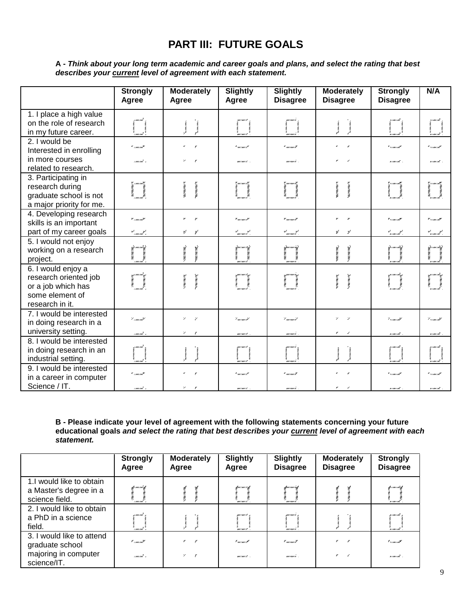# **PART III: FUTURE GOALS**

#### **A -** *Think about your long term academic and career goals and plans, and select the rating that best describes your current level of agreement with each statement.*

|                                                                                                         | <b>Strongly</b><br>Agree                        | <b>Moderately</b><br>Agree                              | <b>Slightly</b><br>Agree                              | Slightly<br><b>Disagree</b>                                  | <b>Moderately</b><br><b>Disagree</b>                        | Strongly<br><b>Disagree</b>                   | N/A                                                         |
|---------------------------------------------------------------------------------------------------------|-------------------------------------------------|---------------------------------------------------------|-------------------------------------------------------|--------------------------------------------------------------|-------------------------------------------------------------|-----------------------------------------------|-------------------------------------------------------------|
| 1. I place a high value<br>on the role of research<br>in my future career.                              | 1 mil 1 mil                                     |                                                         | W//W///                                               | wermere                                                      | ho.vom.vom.                                                 | 7/08/08                                       | 77.000 F.00                                                 |
| 2. I would be<br>Interested in enrolling                                                                | * <sub>111111</sub> mi <sup>y</sup>             | $\pmb{r}$<br>$\mathbf{r}$                               | * mennest                                             | $"$ m/m/ $I$                                                 |                                                             | $"$ , $"$ , $"$                               | * */ma/mi*                                                  |
| in more courses<br>related to research.                                                                 | rmermit s                                       | $\mathcal V$<br>$\epsilon$                              | mermert .                                             | moment.                                                      | r<br>$\overline{\phantom{a}}$                               | some at -                                     | rimind.                                                     |
| 3. Participating in<br>research during<br>graduate school is not<br>a major priority for me.            |                                                 |                                                         | , mena ek<br>me emeri                                 | y meeneel.<br>A<br>uu mari                                   | <b>BAYWAYWAY</b>                                            | Ima<br>r i mr i mb                            | y semenat<br>,,,,,,,                                        |
| 4. Developing research<br>skills is an important<br>part of my career goals                             | y <sub>camcan</sub> y<br>rt<br> -<br>  marmal.x | $\mathcal{V}$ .<br>$\mathbf{r}$<br>デ<br>4               | $\mathbf{v}_{m \prime m \prime}$<br>st<br>sacracers i | $\mathbf{v}_{m \prime m \prime} \mathbf{y}$<br>rt<br>marmark | ×<br>¥.<br>ヺ                                                | $\mathbf{v}_{\text{v,max}}$<br>st<br>sena ent | $\mathbf{v}_{r,mn,m}$<br>at<br>seemeenta                    |
| 5. I would not enjoy<br>working on a research<br>project.                                               | i<br>I                                          | <b>Convention</b>                                       | it www.et<br>me concel                                | it pur ruur reit<br>mo com c                                 | enventors.<br>enventory.                                    | i prva i mir f<br><b>KIMKIM</b>               | i permur mõi j<br><b>SHEAR</b><br>y cancer                  |
| 6. I would enjoy a<br>research oriented job<br>or a job which has<br>some element of<br>research in it. |                                                 | <b>Contract Control</b><br><b>Now York Street, Card</b> | i<br>Santa Santa<br>Santa Santa Santa<br>mermert      | ym mariy<br>1987.00                                          | <b>Avenue Control</b><br><b>New Year</b>                    | ya masuka<br>Waliofariki<br>Waliofariki       | yana mi<br><b>VIMYIN</b>                                    |
| 7. I would be interested<br>in doing research in a<br>university setting.                               | '' marmat                                       | $\mathcal{V}$<br>- 7<br>$\mathcal{L}_{\mathcal{C}}$     | '' minni it                                           | '' moment                                                    | $\mathcal V$<br>$\mathcal V$<br>$\mathcal{C}$<br>$\epsilon$ | 7 similard                                    | '' vous mit                                                 |
| 8. I would be interested<br>in doing research in an<br>industrial setting.                              | rmani x<br>o muo mui                            | $\mathbf{r}$<br><b>Surveyor</b>                         | mermert .<br>me enver et                              | marmare.<br>mormore.                                         | has come come                                               | someont.<br>21 me i më                        | s concent<br>7 / 100 / 100                                  |
| 9. I would be interested<br>in a career in computer<br>Science / IT.                                    | " <sub>como mo</sub> v<br>rmani s               | $\pmb{r}$<br>$\mathbf{z}$                               | $"$ writing is $"$<br>mones.                          | $"$ we can $I$<br>mermere.                                   | $\mathcal{C}$<br>$\epsilon$                                 | * */me/ml<br>ximini -                         | $^{\prime}$ $_{\prime}$ and and $^{\prime}$<br>n i moi inte |

**B - Please indicate your level of agreement with the following statements concerning your future educational goals** *and select the rating that best describes your current level of agreement with each statement.*

|                                                                      | <b>Strongly</b><br>Agree      | <b>Moderately</b><br>Agree               | <b>Slightly</b><br>Agree   | <b>Slightly</b><br><b>Disagree</b>         | <b>Moderately</b><br><b>Disagree</b> | <b>Strongly</b><br><b>Disagree</b>                                           |
|----------------------------------------------------------------------|-------------------------------|------------------------------------------|----------------------------|--------------------------------------------|--------------------------------------|------------------------------------------------------------------------------|
| 1.I would like to obtain<br>a Master's degree in a<br>science field. | k marmi k<br>rmani s          |                                          | Ruu i nur i s.d.<br>monusi | <b>Downwood</b><br>mermere                 |                                      | ller mer må i<br><b>RIMEIM</b>                                               |
| 2. I would like to obtain<br>a PhD in a science<br>field.            | n marmani.<br>.<br>: mur mil. |                                          | musmus.<br>www.com         | ma i ma i c<br>monueri                     |                                      | 21 mars mil<br><b>XIMYIM</b>                                                 |
| 3. I would like to attend<br>graduate school                         | * marmat                      | $\mathbf{r}$<br>$\overline{\phantom{a}}$ | I was most                 | $\mathcal{F}$ and $\rho$ and $\mathcal{F}$ | $\overline{\phantom{a}}$<br>,        | $\mathscr{C}_{\mathscr{V}/\mathscr{W}\mathscr{V}/\mathscr{W}}^{\mathscr{V}}$ |
| majoring in computer<br>science/IT.                                  | rmermit s                     | $\mathcal{V}$                            | memors.                    | moment.                                    | ,                                    | someont .                                                                    |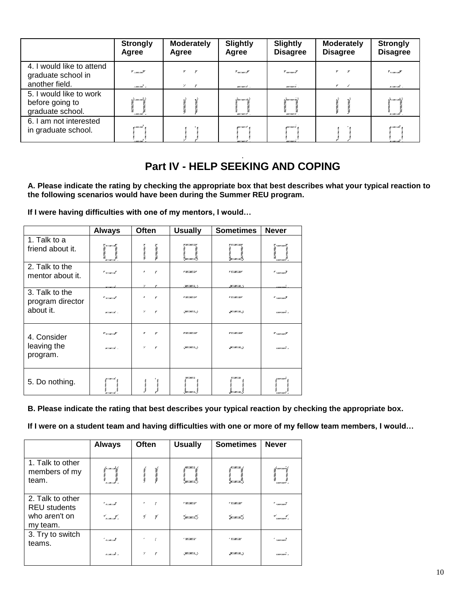|                                                                   | <b>Strongly</b><br>Agree             | <b>Moderately</b><br>Agree | Slightly<br>Agree                      | <b>Slightly</b><br><b>Disagree</b>       | <b>Moderately</b><br><b>Disagree</b>       | <b>Strongly</b><br><b>Disagree</b> |
|-------------------------------------------------------------------|--------------------------------------|----------------------------|----------------------------------------|------------------------------------------|--------------------------------------------|------------------------------------|
| 4. I would like to attend<br>graduate school in<br>another field. | $"$ concentration $"$<br>courrant, s | $\mathbf{z}$ $\mathbf{z}$  | $\mathbf{v}_{\text{new}}$<br>mermers . | $\mathcal{F}_{\text{unram}}$<br>monuei . | $\mathbf{v}$<br>×<br>$\epsilon$ $\epsilon$ | $\mathbf{v}_{rms/ms}$<br>someont . |
| 5. I would like to work<br>before going to<br>graduate school.    | Denin milit<br>'imami'u              |                            | Ducement,<br>workers.                  | :/www.more/<br>mermeri                   |                                            | Dermer mit h<br>ำการเข้            |
| 6. I am not interested<br>in graduate school.                     | u mu mi                              |                            | mezmezh a<br>mezmezh                   | mar i mar i c<br>mormore                 |                                            | se me i mi<br>v i mo i s           |

#### . **Part IV - HELP SEEKING AND COPING**

**A. Please indicate the rating by checking the appropriate box that best describes what your typical reaction to the following scenarios would have been during the Summer REU program.**

**If I were having difficulties with one of my mentors, I would…**

|                                    | <b>Always</b>                                           | <b>Often</b>                                   | <b>Usually</b>                     | <b>Sometimes</b>                 | <b>Never</b>                                 |
|------------------------------------|---------------------------------------------------------|------------------------------------------------|------------------------------------|----------------------------------|----------------------------------------------|
| 1. Talk to a<br>friend about it.   | y seemeenth.<br><b>BAYWAYWAY</b><br>BAYWAYN<br>mimini . | <b>VALUATION VALUE AND</b><br><b>BAYWAYMAY</b> | <b>V W/AW/AV</b><br>I.             | <b>FY/MV/MP</b><br>i<br>Isaacad  | I<br>I<br>Lawrouve 1                         |
| 2. Talk to the<br>mentor about it. | * women!<br>u i mi i në                                 | ٠<br>r<br>$\mathcal V$<br>,                    | <b>v</b> \\\/X\\/XV<br>AWINII INIY | <b>Y V/MV/MY</b><br>30//00//06/2 | * <sub>* max</sub> max <b>*</b><br>marconer. |
| 3. Talk to the<br>program director | $"$ we concent                                          | ٠<br>r                                         | <b>* W/AW/AF</b>                   | <b>Y V/MV/MY</b>                 | * <sub>* max</sub> max <b>*</b>              |
| about it.                          | mount.                                                  | $\mathcal{L}$<br>Y                             | <b>MIT / KW / A. S.</b>            | 30/100/105.                      | concentra a                                  |
| 4. Consider<br>leaving the         | <b><i>Furnish</i></b>                                   | ,<br>y<br>$\mathcal{L}$<br>r                   | <b>V W/AW/AV</b>                   | <b>VY/AV/AV</b>                  | $\mathscr{C}$ , and can $\mathscr{S}$        |
| program.                           | mmmm".                                                  |                                                | <b>JAV / KW / A. J</b>             | 30/100/105.                      | rmermer x                                    |
| 5. Do nothing.                     | n i me i nt<br>m i me i në                              | <b>Controller Controller</b><br>www.come.com   | W/AW/A<br>raman S                  | <b>V/AV/AE</b><br>secuecia)      | Lawrouve 1                                   |

**B. Please indicate the rating that best describes your typical reaction by checking the appropriate box.**

**If I were on a student team and having difficulties with one or more of my fellow team members, I would…**

|                                                                      | <b>Always</b>                                  | Often                                    | <b>Usually</b>                                               | <b>Sometimes</b>                 | <b>Never</b>                           |
|----------------------------------------------------------------------|------------------------------------------------|------------------------------------------|--------------------------------------------------------------|----------------------------------|----------------------------------------|
| 1. Talk to other<br>members of my<br>team.                           | fyrmermt.<br>maxway.com<br>n/www.<br>voucent s | was/was/was<br><b>CONTRACTOR</b>         | umus <sub>h</sub> .<br>nymym.<br>my convert<br>************* | 47 MW 7 ME .                     | fram um el<br>myonyen<br>courcours .   |
| 2. Talk to other<br><b>REU students</b><br>who aren't on<br>my team. | * vineink<br>d <sub>mara</sub> t ,             | ×<br>$\mathbf{r}$<br>v.<br>$\frac{1}{2}$ | <b>* W/AW/A</b><br>''mumike                                  | <b>Y V/MV/MY</b><br>sa cua cui s | * <sub>* marsmar</sub> *<br>Lawrence a |
| 3. Try to switch<br>teams.                                           | ' vouvoit                                      | ٠<br>f.                                  | $'$ W/M/A                                                    | * <i>VIMII</i> N*                | ' sacriach                             |
|                                                                      | sources s                                      | γ<br>$\boldsymbol{r}$                    | <b>MIT / AW / A. 7</b>                                       | <b>W/M/M.</b>                    | smesme s                               |